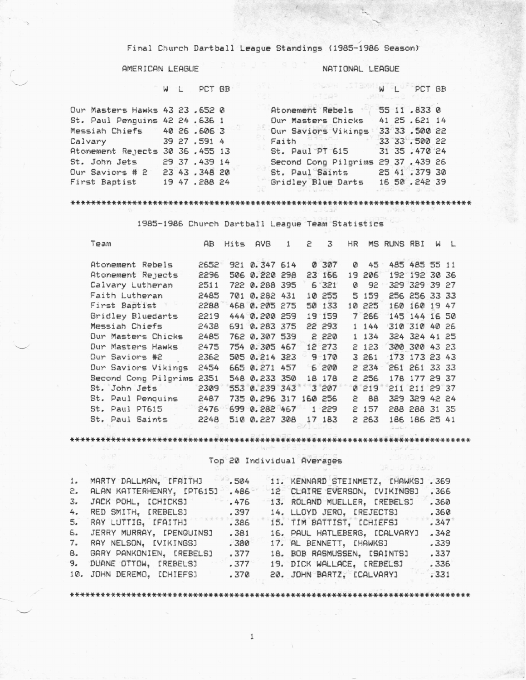## Final Church Dartball League Standings (1985-1986 Season)

# AMERICAN LEAGUE

**Church** 

WL PCT GB

$$
W - L = PCT \tBR
$$

| Our Masters Hawks 43 23 .652 0  |  |               |  | Atomement Rebels 55 11,833 0       |  |               |  |
|---------------------------------|--|---------------|--|------------------------------------|--|---------------|--|
| St. Paul Penguins 42 24 .636 1  |  |               |  | Our Masters Chicks                 |  | 41 25.621 14  |  |
| Messiah Chiefs 40 26 .606 3     |  |               |  | Our Saviors Vikings                |  | 33 33 .500 22 |  |
| Calvary 39 27.591 4             |  |               |  | Faith Stand                        |  | 33 33 .500 22 |  |
| Atonement Rejects 30 36 .455 13 |  |               |  | St. Paul PT 615 31 35.470 24       |  |               |  |
| St. John Jets 29 37 .439 14     |  |               |  | Second Cong Pilgrims 29 37 .439 26 |  |               |  |
| Dur Saviors # 2 23 43.348 20    |  |               |  | St. Paul Saints 25 41 .379 30      |  |               |  |
| First Baptist                   |  | 19 47 .288 24 |  | Gridley Blue Darts 16 50.242 39    |  |               |  |
|                                 |  |               |  |                                    |  |               |  |

### 

1985-1986 Church Dartball League Team Statistics

| Team                 | AB.  | Hits | <b>AVG</b>            | 1 | 2 | 3         | HR |        | MS RUNS RBI |               | Ы | $\perp$ |
|----------------------|------|------|-----------------------|---|---|-----------|----|--------|-------------|---------------|---|---------|
| Atonement Rebels     | 2652 | 921  | 0.347614              |   |   | 0 307     | Ø  | $45 -$ |             | 485 485 55 11 |   |         |
| Atonement Rejects    | 2296 |      | 506 0.220 298         |   |   | 23 166    |    | 19 206 |             | 192 192 30 36 |   |         |
| Calvary Lutheran     | 2511 |      | 722 0.288 395         |   |   | 6'321'    | Ø  | 92     |             | 329 329 39 27 |   |         |
| Faith Lutheran       | 2485 |      | 701 0.282 431         |   |   | 10 255    |    | 5 159  |             | 256 256 33 33 |   |         |
| First Baptist        | 2288 |      | 468 0.205 275         |   |   | 50 133    |    | 10 225 |             | 160 160 19 47 |   |         |
| Gridley Bluedarts    | 2219 |      | 444 0.200 259         |   |   | 19 159    |    | 7 266  |             | 145 144 16 50 |   |         |
| Messiah Chiefs       | 2438 |      | 691 0.283 375         |   |   | 22 293    |    | 1 144  |             | 310 310 40 26 |   |         |
| Our Masters Chicks   | 2485 |      | 762 0.307 539         |   |   | 2 220     |    | 1 134  |             | 324 324 41 25 |   |         |
| Our Masters Hawks    | 2475 |      | 754 0.305 467         |   |   | 12 273    |    | 2 123  |             | 300 300 43 23 |   |         |
| Our Saviors #2       | 2362 |      | 505 0.214 323         |   |   | $9 - 170$ |    | 3 261  |             | 173 173 23 43 |   |         |
| Our Saviors Vikings  | 2454 |      | 665 0.271 457         |   |   | 6 200     |    | 2.234  |             | 261 261 33 33 |   |         |
| Second Cong Pilgrims | 2351 |      | 548 0.233 350         |   |   | 18 178    |    | 2 256  |             | 178 177 29 37 |   |         |
| St. John Jets        | 2309 |      | 553 0.239 343         |   |   | 3 207     |    | 0.219  |             | 211 211 29 37 |   |         |
| St. Paul Penquins    | 2487 |      | 735 0.296 317 160 256 |   |   |           | 2. | 88     |             | 329 329 42 24 |   |         |
| St. Paul PT615       | 2476 |      | 699 0.282 467         |   |   | $1 - 229$ |    | 2 157  |             | 288 288 31 35 |   |         |
| St. Paul Saints      | 2248 |      | 510 0.227 308         |   |   | 17 183    |    | 2 263  |             | 186 186 25 41 |   |         |

Top 20 Individual Averages

| 1. MARTY DALLMAN, IFAITHJ         | $-504$ | 11. KENNARD STEINMETZ, [HAWKS] .369 |      |
|-----------------------------------|--------|-------------------------------------|------|
| 2. ALAN KATTERHENRY, IPT6151 .486 |        | 12 CLAIRE EVERSON, IVIKINGSJ        | .366 |
| 3. JACK POHL, ICHICKSJ 476        |        | 13. ROLAND MUELLER, [REBELS]        | .360 |
| 4. RED SMITH, IREBELSJ            | . 397  | 14. LLOYD JERO, IREJECTSJ           | .360 |
| 5. RAY LUTTIG, IFAITHI            | .386   | 15. TIM BATTIST, ICHIEFSJ           | .347 |
| 6. JERRY MURRAY, IPENGUINSI       | .381   | 16. PAUL HATLEBERG, ICALVARYJ       | .342 |
| 7. RAY NELSON, IVIKINGSJ          | .380   | 17. AL BENNETT, [HAWKS]             | .339 |
| 8. GARY PANKONIEN, [REBELS]       | .377   | 18. BOB RASMUSSEN, ISAINTSJ         | .337 |
| 9. DUANE OTTOW, EREBELSI          | .377   | 19. DICK WALLACE, [REBELS]          | .336 |
| 10. JOHN DEREMO, [CHIEFS]         | .370   | 20. JOHN BARTZ, [CALVARY]           | .331 |
|                                   |        |                                     |      |

 $\mathbbm{1}$